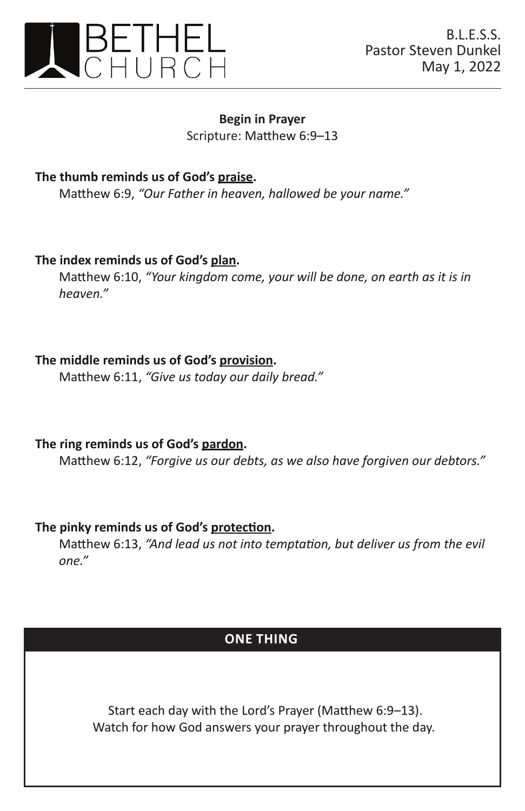

#### **Begin in Prayer** Scripture: Matthew 6:9–13

**The thumb reminds us of God's praise.**

Matthew 6:9, *"Our Father in heaven, hallowed be your name."*

**The index reminds us of God's plan.**

Matthew 6:10, *"Your kingdom come, your will be done, on earth as it is in heaven."*

### **The middle reminds us of God's provision.**

Matthew 6:11, *"Give us today our daily bread."*

**The ring reminds us of God's pardon.**

Matthew 6:12, *"Forgive us our debts, as we also have forgiven our debtors."*

### **The pinky reminds us of God's protection.**

Matthew 6:13, *"And lead us not into temptation, but deliver us from the evil one."*

## **ONE THING**

 Start each day with the Lord's Prayer (Matthew 6:9–13). Watch for how God answers your prayer throughout the day.